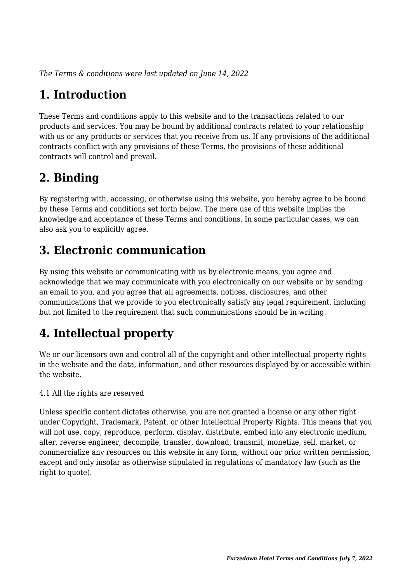*The Terms & conditions were last updated on June 14, 2022*

# **1. Introduction**

These Terms and conditions apply to this website and to the transactions related to our products and services. You may be bound by additional contracts related to your relationship with us or any products or services that you receive from us. If any provisions of the additional contracts conflict with any provisions of these Terms, the provisions of these additional contracts will control and prevail.

# **2. Binding**

By registering with, accessing, or otherwise using this website, you hereby agree to be bound by these Terms and conditions set forth below. The mere use of this website implies the knowledge and acceptance of these Terms and conditions. In some particular cases, we can also ask you to explicitly agree.

# **3. Electronic communication**

By using this website or communicating with us by electronic means, you agree and acknowledge that we may communicate with you electronically on our website or by sending an email to you, and you agree that all agreements, notices, disclosures, and other communications that we provide to you electronically satisfy any legal requirement, including but not limited to the requirement that such communications should be in writing.

# **4. Intellectual property**

We or our licensors own and control all of the copyright and other intellectual property rights in the website and the data, information, and other resources displayed by or accessible within the website.

4.1 All the rights are reserved

Unless specific content dictates otherwise, you are not granted a license or any other right under Copyright, Trademark, Patent, or other Intellectual Property Rights. This means that you will not use, copy, reproduce, perform, display, distribute, embed into any electronic medium, alter, reverse engineer, decompile, transfer, download, transmit, monetize, sell, market, or commercialize any resources on this website in any form, without our prior written permission, except and only insofar as otherwise stipulated in regulations of mandatory law (such as the right to quote).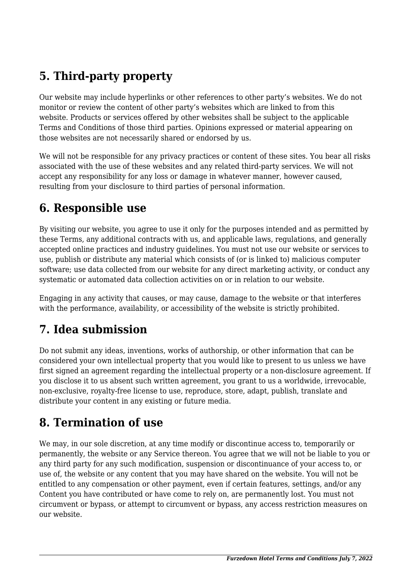# **5. Third-party property**

Our website may include hyperlinks or other references to other party's websites. We do not monitor or review the content of other party's websites which are linked to from this website. Products or services offered by other websites shall be subject to the applicable Terms and Conditions of those third parties. Opinions expressed or material appearing on those websites are not necessarily shared or endorsed by us.

We will not be responsible for any privacy practices or content of these sites. You bear all risks associated with the use of these websites and any related third-party services. We will not accept any responsibility for any loss or damage in whatever manner, however caused, resulting from your disclosure to third parties of personal information.

#### **6. Responsible use**

By visiting our website, you agree to use it only for the purposes intended and as permitted by these Terms, any additional contracts with us, and applicable laws, regulations, and generally accepted online practices and industry guidelines. You must not use our website or services to use, publish or distribute any material which consists of (or is linked to) malicious computer software; use data collected from our website for any direct marketing activity, or conduct any systematic or automated data collection activities on or in relation to our website.

Engaging in any activity that causes, or may cause, damage to the website or that interferes with the performance, availability, or accessibility of the website is strictly prohibited.

# **7. Idea submission**

Do not submit any ideas, inventions, works of authorship, or other information that can be considered your own intellectual property that you would like to present to us unless we have first signed an agreement regarding the intellectual property or a non-disclosure agreement. If you disclose it to us absent such written agreement, you grant to us a worldwide, irrevocable, non-exclusive, royalty-free license to use, reproduce, store, adapt, publish, translate and distribute your content in any existing or future media.

### **8. Termination of use**

We may, in our sole discretion, at any time modify or discontinue access to, temporarily or permanently, the website or any Service thereon. You agree that we will not be liable to you or any third party for any such modification, suspension or discontinuance of your access to, or use of, the website or any content that you may have shared on the website. You will not be entitled to any compensation or other payment, even if certain features, settings, and/or any Content you have contributed or have come to rely on, are permanently lost. You must not circumvent or bypass, or attempt to circumvent or bypass, any access restriction measures on our website.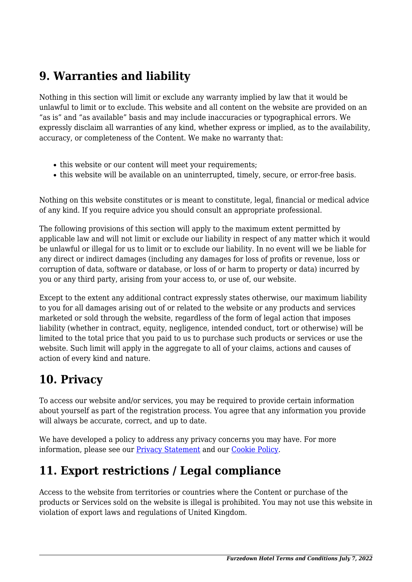### **9. Warranties and liability**

Nothing in this section will limit or exclude any warranty implied by law that it would be unlawful to limit or to exclude. This website and all content on the website are provided on an "as is" and "as available" basis and may include inaccuracies or typographical errors. We expressly disclaim all warranties of any kind, whether express or implied, as to the availability, accuracy, or completeness of the Content. We make no warranty that:

- this website or our content will meet your requirements;
- this website will be available on an uninterrupted, timely, secure, or error-free basis.

Nothing on this website constitutes or is meant to constitute, legal, financial or medical advice of any kind. If you require advice you should consult an appropriate professional.

The following provisions of this section will apply to the maximum extent permitted by applicable law and will not limit or exclude our liability in respect of any matter which it would be unlawful or illegal for us to limit or to exclude our liability. In no event will we be liable for any direct or indirect damages (including any damages for loss of profits or revenue, loss or corruption of data, software or database, or loss of or harm to property or data) incurred by you or any third party, arising from your access to, or use of, our website.

Except to the extent any additional contract expressly states otherwise, our maximum liability to you for all damages arising out of or related to the website or any products and services marketed or sold through the website, regardless of the form of legal action that imposes liability (whether in contract, equity, negligence, intended conduct, tort or otherwise) will be limited to the total price that you paid to us to purchase such products or services or use the website. Such limit will apply in the aggregate to all of your claims, actions and causes of action of every kind and nature.

### **10. Privacy**

To access our website and/or services, you may be required to provide certain information about yourself as part of the registration process. You agree that any information you provide will always be accurate, correct, and up to date.

We have developed a policy to address any privacy concerns you may have. For more information, please see our **Privacy Statement** and our [Cookie Policy](http://furzedownhotel.co.uk/cookie-policy-uk/).

# **11. Export restrictions / Legal compliance**

Access to the website from territories or countries where the Content or purchase of the products or Services sold on the website is illegal is prohibited. You may not use this website in violation of export laws and regulations of United Kingdom.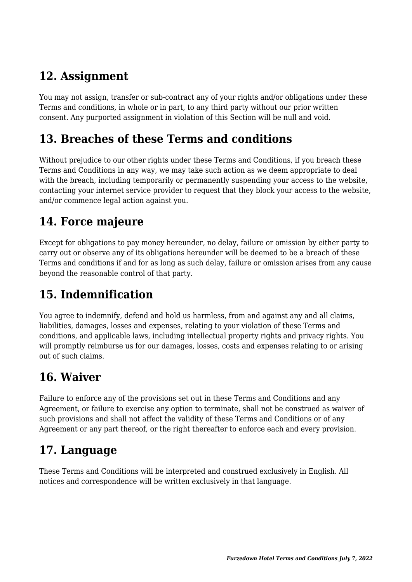### **12. Assignment**

You may not assign, transfer or sub-contract any of your rights and/or obligations under these Terms and conditions, in whole or in part, to any third party without our prior written consent. Any purported assignment in violation of this Section will be null and void.

#### **13. Breaches of these Terms and conditions**

Without prejudice to our other rights under these Terms and Conditions, if you breach these Terms and Conditions in any way, we may take such action as we deem appropriate to deal with the breach, including temporarily or permanently suspending your access to the website, contacting your internet service provider to request that they block your access to the website, and/or commence legal action against you.

### **14. Force majeure**

Except for obligations to pay money hereunder, no delay, failure or omission by either party to carry out or observe any of its obligations hereunder will be deemed to be a breach of these Terms and conditions if and for as long as such delay, failure or omission arises from any cause beyond the reasonable control of that party.

# **15. Indemnification**

You agree to indemnify, defend and hold us harmless, from and against any and all claims, liabilities, damages, losses and expenses, relating to your violation of these Terms and conditions, and applicable laws, including intellectual property rights and privacy rights. You will promptly reimburse us for our damages, losses, costs and expenses relating to or arising out of such claims.

### **16. Waiver**

Failure to enforce any of the provisions set out in these Terms and Conditions and any Agreement, or failure to exercise any option to terminate, shall not be construed as waiver of such provisions and shall not affect the validity of these Terms and Conditions or of any Agreement or any part thereof, or the right thereafter to enforce each and every provision.

# **17. Language**

These Terms and Conditions will be interpreted and construed exclusively in English. All notices and correspondence will be written exclusively in that language.